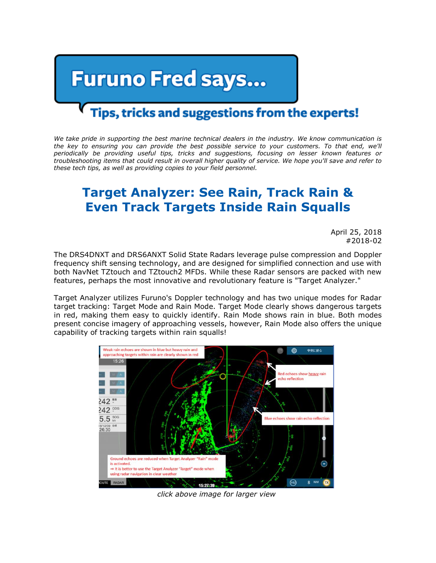## **Furuno Fred says...**

## Tips, tricks and suggestions from the experts!

*We take pride in supporting the best marine technical dealers in the industry. We know communication is the key to ensuring you can provide the best possible service to your customers. To that end, we'll periodically be providing useful tips, tricks and suggestions, focusing on lesser known features or troubleshooting items that could result in overall higher quality of service. We hope you'll save and refer to these tech tips, as well as providing copies to your field personnel.*

## **Target Analyzer: See Rain, Track Rain & Even Track Targets Inside Rain Squalls**

April 25, 2018 #2018-02

The DRS4DNXT and DRS6ANXT Solid State Radars leverage pulse compression and Doppler frequency shift sensing technology, and are designed for simplified connection and use with both NavNet TZtouch and TZtouch2 MFDs. While these Radar sensors are packed with new features, perhaps the most innovative and revolutionary feature is "Target Analyzer."

Target Analyzer utilizes Furuno's Doppler technology and has two unique modes for Radar target tracking: Target Mode and Rain Mode. Target Mode clearly shows dangerous targets in red, making them easy to quickly identify. Rain Mode shows rain in blue. Both modes present concise imagery of approaching vessels, however, Rain Mode also offers the unique capability of tracking targets within rain squalls!



*click above image for larger view*